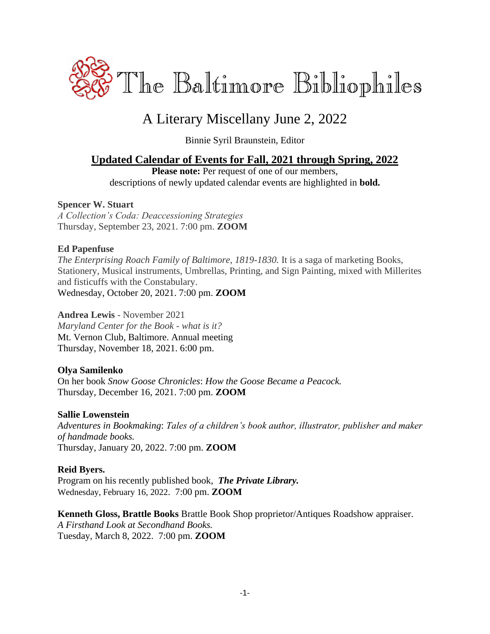

# A Literary Miscellany June 2, 2022

Binnie Syril Braunstein, Editor

### **Updated Calendar of Events for Fall, 2021 through Spring, 2022**

Please note: Per request of one of our members, descriptions of newly updated calendar events are highlighted in **bold.**

#### **Spencer W. Stuart**

*A Collection's Coda: Deaccessioning Strategies* Thursday, September 23, 2021. 7:00 pm. **ZOOM**

#### **Ed Papenfuse**

*The Enterprising Roach Family of Baltimore, 1819-1830.* It is a saga of marketing Books, Stationery, Musical instruments, Umbrellas, Printing, and Sign Painting, mixed with Millerites and fisticuffs with the Constabulary. Wednesday, October 20, 2021. 7:00 pm. **ZOOM**

#### **Andrea Lewis** - November 2021

*Maryland Center for the Book - what is it?* Mt. Vernon Club, Baltimore. Annual meeting Thursday, November 18, 2021. 6:00 pm.

#### **Olya Samilenko**

On her book *Snow Goose Chronicles*: *How the Goose Became a Peacock.* Thursday, December 16, 2021. 7:00 pm. **ZOOM**

#### **Sallie Lowenstein**

*Adventures in Bookmaking*: *Tales of a children's book author, illustrator, publisher and maker of handmade books.* Thursday, January 20, 2022. 7:00 pm. **ZOOM**

#### **Reid Byers.**

Program on his recently published book,*The Private Library.* Wednesday, February 16, 2022. 7:00 pm. **ZOOM**

**Kenneth Gloss, Brattle Books** Brattle Book Shop proprietor/Antiques Roadshow appraiser. *A Firsthand Look at Secondhand Books.* Tuesday, March 8, 2022. 7:00 pm. **ZOOM**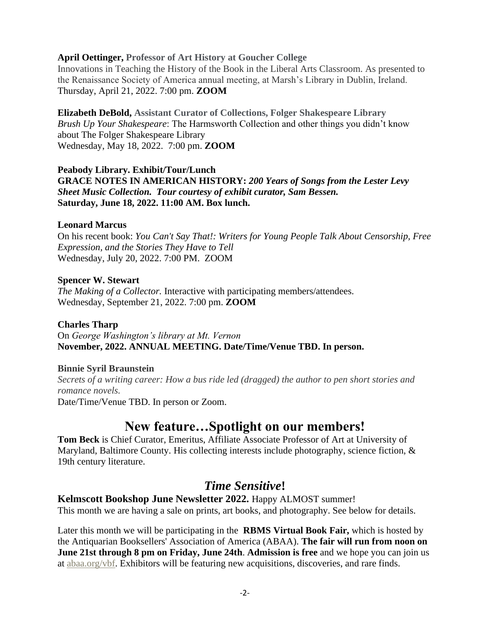#### **April Oettinger, Professor of Art History at Goucher College**

Innovations in Teaching the History of the Book in the Liberal Arts Classroom. As presented to the Renaissance Society of America annual meeting, at Marsh's Library in Dublin, Ireland. Thursday, April 21, 2022. 7:00 pm. **ZOOM**

**Elizabeth DeBold, Assistant Curator of Collections, Folger Shakespeare Library** *Brush Up Your Shakespeare*: The Harmsworth Collection and other things you didn't know about The Folger Shakespeare Library Wednesday, May 18, 2022. 7:00 pm. **ZOOM**

#### **Peabody Library. Exhibit/Tour/Lunch GRACE NOTES IN AMERICAN HISTORY:** *200 Years of Songs from the Lester Levy Sheet Music Collection. Tour courtesy of exhibit curator, Sam Bessen.* **Saturday, June 18, 2022. 11:00 AM. Box lunch.**

#### **Leonard Marcus**

On his recent book: *You Can't Say That!: Writers for Young People Talk About Censorship, Free Expression, and the Stories They Have to Tell* Wednesday, July 20, 2022. 7:00 PM. ZOOM

#### **Spencer W. Stewart**

*The Making of a Collector.* Interactive with participating members/attendees. Wednesday, September 21, 2022. 7:00 pm. **ZOOM**

#### **Charles Tharp**

On *George Washington's library at Mt. Vernon* **November, 2022. ANNUAL MEETING. Date/Time/Venue TBD. In person.**

#### **Binnie Syril Braunstein**

*Secrets of a writing career: How a bus ride led (dragged) the author to pen short stories and romance novels.*

Date/Time/Venue TBD. In person or Zoom.

## **New feature…Spotlight on our members!**

**Tom Beck** is Chief Curator, Emeritus, Affiliate Associate Professor of Art at University of Maryland, Baltimore County. His collecting interests include photography, science fiction, & 19th century literature.

## *Time Sensitive***!**

**Kelmscott Bookshop June Newsletter 2022.** Happy ALMOST summer! This month we are having a sale on prints, art books, and photography. See below for details.

Later this month we will be participating in the **RBMS Virtual Book Fair,** which is hosted by the Antiquarian Booksellers' Association of America (ABAA). **The fair will run from noon on June 21st through 8 pm on Friday, June 24th**. **Admission is free** and we hope you can join us at [abaa.org/vbf.](https://mailtrack.io/trace/link/99408a2250d4b59bc4a166f70b1a6f1ae391f7e1?url=http%3A%2F%2Fabaa.org%2Fvbf&userId=6395794&signature=7ffe9570d44ac3f4&i=036409a3-f61f-4032-9d69-34cd1c9bd6f9&utm_source=constantcontact&utm_medium=email&utm_campaign=newsletter) Exhibitors will be featuring new acquisitions, discoveries, and rare finds.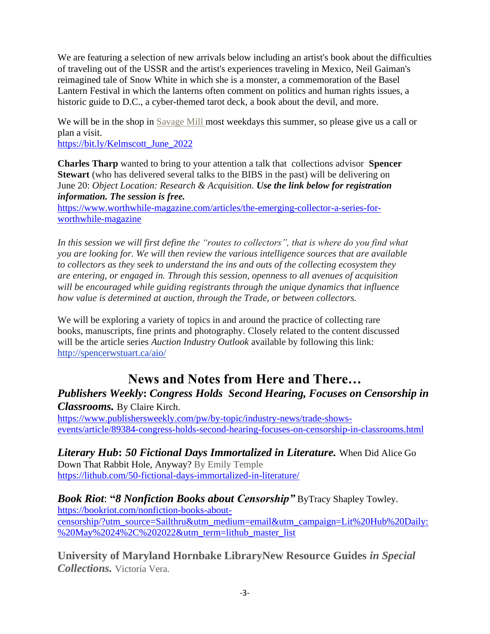We are featuring a selection of new arrivals below including an artist's book about the difficulties of traveling out of the USSR and the artist's experiences traveling in Mexico, Neil Gaiman's reimagined tale of Snow White in which she is a monster, a commemoration of the Basel Lantern Festival in which the lanterns often comment on politics and human rights issues, a historic guide to D.C., a cyber-themed tarot deck, a book about the devil, and more.

We will be in the shop in [Savage Mill m](https://www.savagemill.com/?utm_source=constantcontact&utm_medium=email&utm_campaign=newsletter)ost weekdays this summer, so please give us a call or plan a visit.

[https://bit.ly/Kelmscott\\_June\\_2022](https://bit.ly/Kelmscott_June_2022)

**Charles Tharp** wanted to bring to your attention a talk that collections advisor **Spencer Stewart** (who has delivered several talks to the BIBS in the past) will be delivering on June 20: *Object Location: Research & Acquisition. Use the link below for registration information. The session is free.*

[https://www.worthwhile-magazine.com/articles/the-emerging-collector-a-series-for](https://www.worthwhile-magazine.com/articles/the-emerging-collector-a-series-for-worthwhile-magazine)[worthwhile-magazine](https://www.worthwhile-magazine.com/articles/the-emerging-collector-a-series-for-worthwhile-magazine)

*In this session we will first define the "routes to collectors", that is where do you find what you are looking for. We will then review the various intelligence sources that are available to collectors as they seek to understand the ins and outs of the collecting ecosystem they are entering, or engaged in. Through this session, openness to all avenues of acquisition will be encouraged while guiding registrants through the unique dynamics that influence how value is determined at auction, through the Trade, or between collectors.*

We will be exploring a variety of topics in and around the practice of collecting rare books, manuscripts, fine prints and photography. Closely related to the content discussed will be the article series *Auction Industry Outlook* available by following this link: <http://spencerwstuart.ca/aio/>

# **News and Notes from Here and There…**

*Publishers Weekly***:** *Congress Holds Second Hearing, Focuses on Censorship in Classrooms.* By Claire Kirch.

[https://www.publishersweekly.com/pw/by-topic/industry-news/trade-shows](https://www.publishersweekly.com/pw/by-topic/industry-news/trade-shows-events/article/89384-congress-holds-second-hearing-focuses-on-censorship-in-classrooms.html)[events/article/89384-congress-holds-second-hearing-focuses-on-censorship-in-classrooms.html](https://www.publishersweekly.com/pw/by-topic/industry-news/trade-shows-events/article/89384-congress-holds-second-hearing-focuses-on-censorship-in-classrooms.html)

*Literary Hub***:** *50 Fictional Days Immortalized in Literature.* When Did Alice Go Down That Rabbit Hole, Anyway? By [Emily Temple](https://lithub.com/author/emily-temple/) <https://lithub.com/50-fictional-days-immortalized-in-literature/>

*Book Riot*: **"***8 Nonfiction Books about Censorship"* ByTracy Shapley Towley. [https://bookriot.com/nonfiction-books-about](https://bookriot.com/nonfiction-books-about-censorship/?utm_source=Sailthru&utm_medium=email&utm_campaign=Lit%20Hub%20Daily:%20May%2024%2C%202022&utm_term=lithub_master_list)[censorship/?utm\\_source=Sailthru&utm\\_medium=email&utm\\_campaign=Lit%20Hub%20Daily:](https://bookriot.com/nonfiction-books-about-censorship/?utm_source=Sailthru&utm_medium=email&utm_campaign=Lit%20Hub%20Daily:%20May%2024%2C%202022&utm_term=lithub_master_list) [%20May%2024%2C%202022&utm\\_term=lithub\\_master\\_list](https://bookriot.com/nonfiction-books-about-censorship/?utm_source=Sailthru&utm_medium=email&utm_campaign=Lit%20Hub%20Daily:%20May%2024%2C%202022&utm_term=lithub_master_list)

**University of Maryland Hornbake LibraryNew Resource Guides** *in Special Collections.* Victoria Vera.